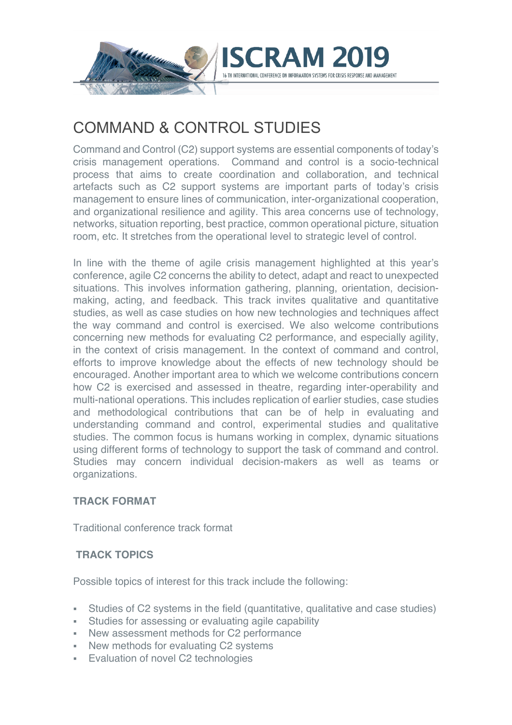

# COMMAND & CONTROL STUDIES

Command and Control (C2) support systems are essential components of today's crisis management operations. Command and control is a socio-technical process that aims to create coordination and collaboration, and technical artefacts such as C2 support systems are important parts of today's crisis management to ensure lines of communication, inter-organizational cooperation, and organizational resilience and agility. This area concerns use of technology, networks, situation reporting, best practice, common operational picture, situation room, etc. It stretches from the operational level to strategic level of control.

In line with the theme of agile crisis management highlighted at this year's conference, agile C2 concerns the ability to detect, adapt and react to unexpected situations. This involves information gathering, planning, orientation, decisionmaking, acting, and feedback. This track invites qualitative and quantitative studies, as well as case studies on how new technologies and techniques affect the way command and control is exercised. We also welcome contributions concerning new methods for evaluating C2 performance, and especially agility, in the context of crisis management. In the context of command and control, efforts to improve knowledge about the effects of new technology should be encouraged. Another important area to which we welcome contributions concern how C2 is exercised and assessed in theatre, regarding inter-operability and multi-national operations. This includes replication of earlier studies, case studies and methodological contributions that can be of help in evaluating and understanding command and control, experimental studies and qualitative studies. The common focus is humans working in complex, dynamic situations using different forms of technology to support the task of command and control. Studies may concern individual decision-makers as well as teams or organizations.

### **TRACK FORMAT**

Traditional conference track format

### **TRACK TOPICS**

Possible topics of interest for this track include the following:

- § Studies of C2 systems in the field (quantitative, qualitative and case studies)
- Studies for assessing or evaluating agile capability
- § New assessment methods for C2 performance
- New methods for evaluating C2 systems
- **Evaluation of novel C2 technologies**